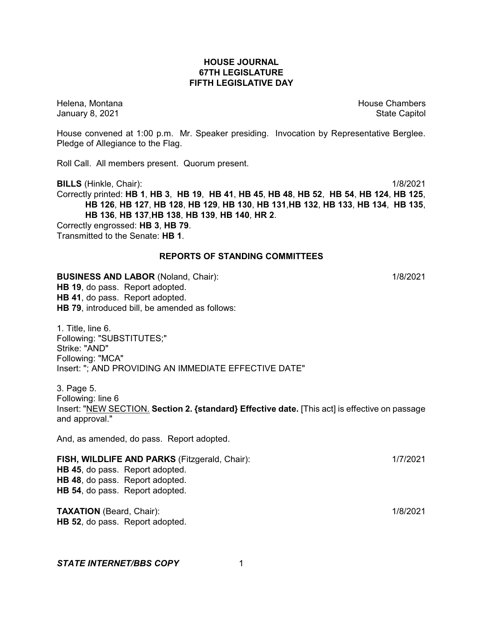## **HOUSE JOURNAL 67TH LEGISLATURE FIFTH LEGISLATIVE DAY**

Helena, Montana **House Chambers** House Chambers **House Chambers** House Chambers **House Chambers** January 8, 2021 **State Capitol** 

House convened at 1:00 p.m. Mr. Speaker presiding. Invocation by Representative Berglee. Pledge of Allegiance to the Flag.

Roll Call. All members present. Quorum present.

**BILLS** (Hinkle, Chair): 1/8/2021 Correctly printed: HB 1, HB 3, HB 19, HB 41, HB 45, HB 48, HB 52, HB 54, HB 124, HB 125, **HB 126**, **HB 127**, **HB 128**, **HB 129**, **HB 130**, **HB 131**,**HB 132**, **HB 133**, **HB 134**, **HB 135**, **HB 136**, **HB 137**,**HB 138**, **HB 139**, **HB 140**, **HR 2**. Correctly engrossed: **HB 3**, **HB 79**.

Transmitted to the Senate: **HB 1**.

# **REPORTS OF STANDING COMMITTEES**

**BUSINESS AND LABOR** (Noland, Chair): 1/8/2021 **HB 19**, do pass. Report adopted. **HB 41**, do pass. Report adopted. **HB 79**, introduced bill, be amended as follows:

1. Title, line 6. Following: "SUBSTITUTES;" Strike: "AND" Following: "MCA" Insert: "; AND PROVIDING AN IMMEDIATE EFFECTIVE DATE"

3. Page 5. Following: line 6 Insert: "NEW SECTION. **Section 2. {standard} Effective date.** [This act] is effective on passage and approval."

And, as amended, do pass. Report adopted.

**FISH, WILDLIFE AND PARKS** (Fitzgerald, Chair): 1/7/2021 **HB 45**, do pass. Report adopted. **HB 48**, do pass. Report adopted. **HB 54**, do pass. Report adopted.

**TAXATION** (Beard, Chair): 1/8/2021 **HB 52**, do pass. Report adopted.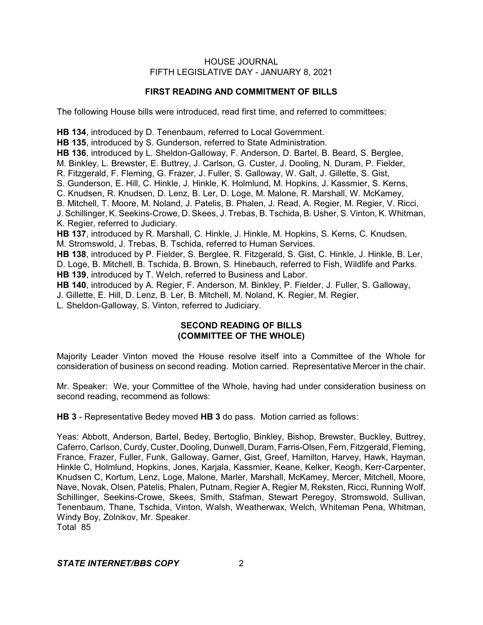# **FIRST READING AND COMMITMENT OF BILLS**

The following House bills were introduced, read first time, and referred to committees:

**HB 134**, introduced by D. Tenenbaum, referred to Local Government. **HB 135**, introduced by S. Gunderson, referred to State Administration. **HB 136**, introduced by L. Sheldon-Galloway, F. Anderson, D. Bartel, B. Beard, S. Berglee, M. Binkley, L. Brewster, E. Buttrey, J. Carlson, G. Custer, J. Dooling, N. Duram, P. Fielder, R. Fitzgerald, F. Fleming, G. Frazer, J. Fuller, S. Galloway, W. Galt, J. Gillette, S. Gist, S. Gunderson, E. Hill, C. Hinkle, J. Hinkle, K. Holmlund, M. Hopkins, J. Kassmier, S. Kerns, C. Knudsen, R. Knudsen, D. Lenz, B. Ler, D. Loge, M. Malone, R. Marshall, W. McKamey, B. Mitchell, T. Moore, M. Noland, J. Patelis, B. Phalen, J. Read, A. Regier, M. Regier, V. Ricci, J. Schillinger, K. Seekins-Crowe, D. Skees, J. Trebas, B. Tschida, B. Usher, S. Vinton, K. Whitman, K. Regier, referred to Judiciary. **HB 137**, introduced by R. Marshall, C. Hinkle, J. Hinkle, M. Hopkins, S. Kerns, C. Knudsen, M. Stromswold, J. Trebas, B. Tschida, referred to Human Services. **HB 138**, introduced by P. Fielder, S. Berglee, R. Fitzgerald, S. Gist, C. Hinkle, J. Hinkle, B. Ler, D. Loge, B. Mitchell, B. Tschida, B. Brown, S. Hinebauch, referred to Fish, Wildlife and Parks. **HB 139**, introduced by T. Welch, referred to Business and Labor. **HB 140**, introduced by A. Regier, F. Anderson, M. Binkley, P. Fielder, J. Fuller, S. Galloway,

J. Gillette, E. Hill, D. Lenz, B. Ler, B. Mitchell, M. Noland, K. Regier, M. Regier,

L. Sheldon-Galloway, S. Vinton, referred to Judiciary.

# **SECOND READING OF BILLS (COMMITTEE OF THE WHOLE)**

Majority Leader Vinton moved the House resolve itself into a Committee of the Whole for consideration of business on second reading. Motion carried. Representative Mercer in the chair.

Mr. Speaker: We, your Committee of the Whole, having had under consideration business on second reading, recommend as follows:

**HB 3** - Representative Bedey moved **HB 3** do pass. Motion carried as follows:

Yeas: Abbott, Anderson, Bartel, Bedey, Bertoglio, Binkley, Bishop, Brewster, Buckley, Buttrey, Caferro, Carlson, Curdy, Custer, Dooling, Dunwell, Duram, Farris-Olsen, Fern, Fitzgerald, Fleming, France, Frazer, Fuller, Funk, Galloway, Garner, Gist, Greef, Hamilton, Harvey, Hawk, Hayman, Hinkle C, Holmlund, Hopkins, Jones, Karjala, Kassmier, Keane, Kelker, Keogh, Kerr-Carpenter, Knudsen C, Kortum, Lenz, Loge, Malone, Marler, Marshall, McKamey, Mercer, Mitchell, Moore, Nave, Novak, Olsen, Patelis, Phalen, Putnam, Regier A, Regier M, Reksten, Ricci, Running Wolf, Schillinger, Seekins-Crowe, Skees, Smith, Stafman, Stewart Peregoy, Stromswold, Sullivan, Tenenbaum, Thane, Tschida, Vinton, Walsh, Weatherwax, Welch, Whiteman Pena, Whitman, Windy Boy, Zolnikov, Mr. Speaker.

Total 85

# *STATE INTERNET/BBS COPY* 2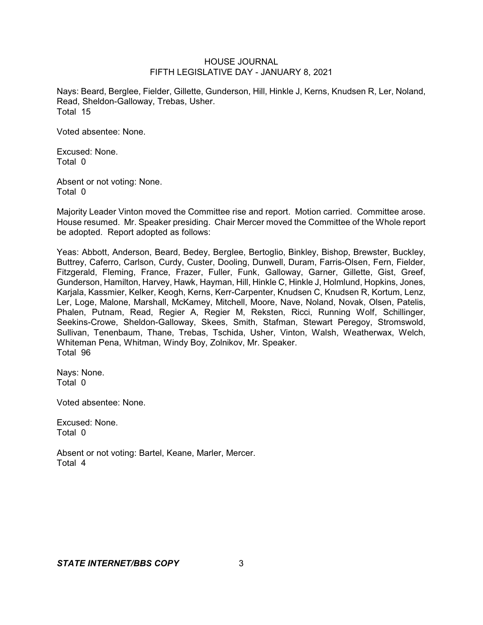Nays: Beard, Berglee, Fielder, Gillette, Gunderson, Hill, Hinkle J, Kerns, Knudsen R, Ler, Noland, Read, Sheldon-Galloway, Trebas, Usher. Total 15

Voted absentee: None.

Excused: None. Total 0

Absent or not voting: None. Total 0

Majority Leader Vinton moved the Committee rise and report. Motion carried. Committee arose. House resumed. Mr. Speaker presiding. Chair Mercer moved the Committee of the Whole report be adopted. Report adopted as follows:

Yeas: Abbott, Anderson, Beard, Bedey, Berglee, Bertoglio, Binkley, Bishop, Brewster, Buckley, Buttrey, Caferro, Carlson, Curdy, Custer, Dooling, Dunwell, Duram, Farris-Olsen, Fern, Fielder, Fitzgerald, Fleming, France, Frazer, Fuller, Funk, Galloway, Garner, Gillette, Gist, Greef, Gunderson, Hamilton, Harvey, Hawk, Hayman, Hill, Hinkle C, Hinkle J, Holmlund, Hopkins, Jones, Karjala, Kassmier, Kelker, Keogh, Kerns, Kerr-Carpenter, Knudsen C, Knudsen R, Kortum, Lenz, Ler, Loge, Malone, Marshall, McKamey, Mitchell, Moore, Nave, Noland, Novak, Olsen, Patelis, Phalen, Putnam, Read, Regier A, Regier M, Reksten, Ricci, Running Wolf, Schillinger, Seekins-Crowe, Sheldon-Galloway, Skees, Smith, Stafman, Stewart Peregoy, Stromswold, Sullivan, Tenenbaum, Thane, Trebas, Tschida, Usher, Vinton, Walsh, Weatherwax, Welch, Whiteman Pena, Whitman, Windy Boy, Zolnikov, Mr. Speaker. Total 96

Nays: None. Total 0

Voted absentee: None.

Excused: None. Total 0

Absent or not voting: Bartel, Keane, Marler, Mercer. Total 4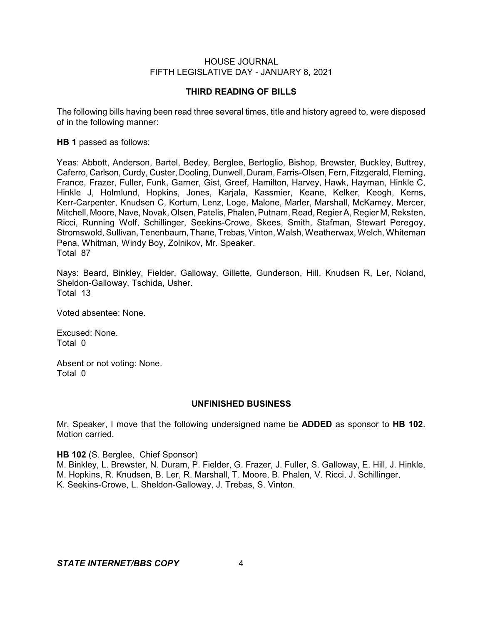### **THIRD READING OF BILLS**

The following bills having been read three several times, title and history agreed to, were disposed of in the following manner:

#### **HB 1** passed as follows:

Yeas: Abbott, Anderson, Bartel, Bedey, Berglee, Bertoglio, Bishop, Brewster, Buckley, Buttrey, Caferro, Carlson, Curdy, Custer, Dooling, Dunwell, Duram, Farris-Olsen, Fern, Fitzgerald, Fleming, France, Frazer, Fuller, Funk, Garner, Gist, Greef, Hamilton, Harvey, Hawk, Hayman, Hinkle C, Hinkle J, Holmlund, Hopkins, Jones, Karjala, Kassmier, Keane, Kelker, Keogh, Kerns, Kerr-Carpenter, Knudsen C, Kortum, Lenz, Loge, Malone, Marler, Marshall, McKamey, Mercer, Mitchell, Moore, Nave, Novak, Olsen, Patelis, Phalen, Putnam, Read, Regier A, Regier M, Reksten, Ricci, Running Wolf, Schillinger, Seekins-Crowe, Skees, Smith, Stafman, Stewart Peregoy, Stromswold, Sullivan, Tenenbaum, Thane, Trebas,Vinton, Walsh, Weatherwax, Welch, Whiteman Pena, Whitman, Windy Boy, Zolnikov, Mr. Speaker. Total 87

Nays: Beard, Binkley, Fielder, Galloway, Gillette, Gunderson, Hill, Knudsen R, Ler, Noland, Sheldon-Galloway, Tschida, Usher. Total 13

Voted absentee: None.

Excused: None. Total 0

Absent or not voting: None. Total 0

#### **UNFINISHED BUSINESS**

Mr. Speaker, I move that the following undersigned name be **ADDED** as sponsor to **HB 102**. Motion carried.

#### **HB 102** (S. Berglee, Chief Sponsor)

M. Binkley, L. Brewster, N. Duram, P. Fielder, G. Frazer, J. Fuller, S. Galloway, E. Hill, J. Hinkle, M. Hopkins, R. Knudsen, B. Ler, R. Marshall, T. Moore, B. Phalen, V. Ricci, J. Schillinger, K. Seekins-Crowe, L. Sheldon-Galloway, J. Trebas, S. Vinton.